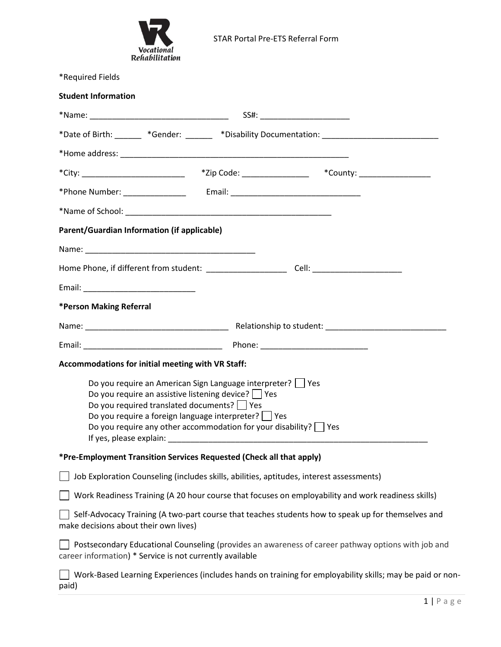

| *Required Fields                                  |                                                                                                                                                                                                                                                                                                        |                                                                                                           |  |  |  |  |
|---------------------------------------------------|--------------------------------------------------------------------------------------------------------------------------------------------------------------------------------------------------------------------------------------------------------------------------------------------------------|-----------------------------------------------------------------------------------------------------------|--|--|--|--|
| <b>Student Information</b>                        |                                                                                                                                                                                                                                                                                                        |                                                                                                           |  |  |  |  |
|                                                   |                                                                                                                                                                                                                                                                                                        |                                                                                                           |  |  |  |  |
|                                                   |                                                                                                                                                                                                                                                                                                        | *Date of Birth: ______ *Gender: ______ *Disability Documentation: _________________________________       |  |  |  |  |
|                                                   |                                                                                                                                                                                                                                                                                                        |                                                                                                           |  |  |  |  |
| *City: ______________________________             | *Zip Code: __________________                                                                                                                                                                                                                                                                          | *County: ____________________                                                                             |  |  |  |  |
|                                                   |                                                                                                                                                                                                                                                                                                        |                                                                                                           |  |  |  |  |
|                                                   |                                                                                                                                                                                                                                                                                                        |                                                                                                           |  |  |  |  |
| Parent/Guardian Information (if applicable)       |                                                                                                                                                                                                                                                                                                        |                                                                                                           |  |  |  |  |
|                                                   |                                                                                                                                                                                                                                                                                                        |                                                                                                           |  |  |  |  |
|                                                   |                                                                                                                                                                                                                                                                                                        |                                                                                                           |  |  |  |  |
|                                                   |                                                                                                                                                                                                                                                                                                        |                                                                                                           |  |  |  |  |
| *Person Making Referral                           |                                                                                                                                                                                                                                                                                                        |                                                                                                           |  |  |  |  |
|                                                   |                                                                                                                                                                                                                                                                                                        |                                                                                                           |  |  |  |  |
|                                                   |                                                                                                                                                                                                                                                                                                        |                                                                                                           |  |  |  |  |
| Accommodations for initial meeting with VR Staff: |                                                                                                                                                                                                                                                                                                        |                                                                                                           |  |  |  |  |
| If yes, please explain:                           | Do you require an American Sign Language interpreter? Ves<br>Do you require an assistive listening device?   Yes<br>Do you required translated documents? $\Box$ Yes<br>Do you require a foreign language interpreter?   Yes<br>Do you require any other accommodation for your disability? $\Box$ Yes |                                                                                                           |  |  |  |  |
|                                                   | *Pre-Employment Transition Services Requested (Check all that apply)                                                                                                                                                                                                                                   |                                                                                                           |  |  |  |  |
|                                                   | Job Exploration Counseling (includes skills, abilities, aptitudes, interest assessments)                                                                                                                                                                                                               |                                                                                                           |  |  |  |  |
|                                                   |                                                                                                                                                                                                                                                                                                        | Work Readiness Training (A 20 hour course that focuses on employability and work readiness skills)        |  |  |  |  |
| make decisions about their own lives)             |                                                                                                                                                                                                                                                                                                        | Self-Advocacy Training (A two-part course that teaches students how to speak up for themselves and        |  |  |  |  |
|                                                   | career information) * Service is not currently available                                                                                                                                                                                                                                               | Postsecondary Educational Counseling (provides an awareness of career pathway options with job and        |  |  |  |  |
| paid)                                             |                                                                                                                                                                                                                                                                                                        | Work-Based Learning Experiences (includes hands on training for employability skills; may be paid or non- |  |  |  |  |